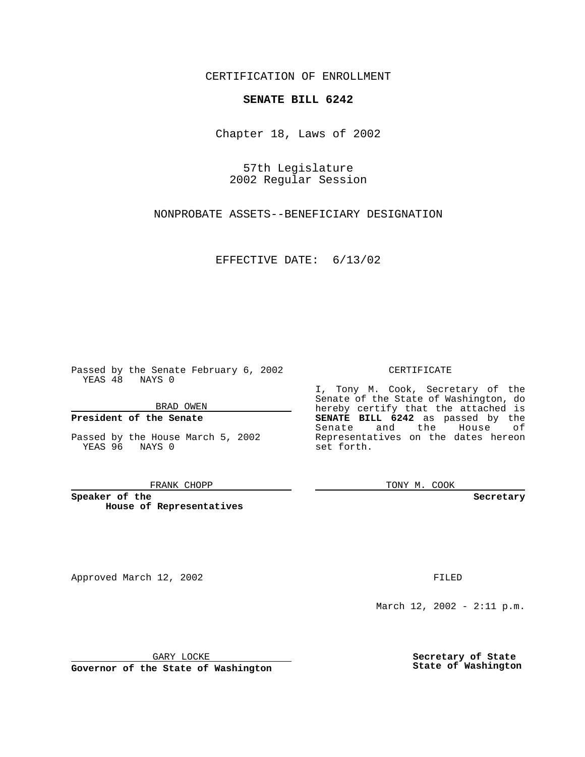CERTIFICATION OF ENROLLMENT

## **SENATE BILL 6242**

Chapter 18, Laws of 2002

57th Legislature 2002 Regular Session

NONPROBATE ASSETS--BENEFICIARY DESIGNATION

EFFECTIVE DATE: 6/13/02

Passed by the Senate February 6, 2002 YEAS 48 NAYS 0

BRAD OWEN

### **President of the Senate**

Passed by the House March 5, 2002 YEAS 96 NAYS 0

#### FRANK CHOPP

**Speaker of the House of Representatives**

Approved March 12, 2002 **FILED** 

### CERTIFICATE

I, Tony M. Cook, Secretary of the Senate of the State of Washington, do hereby certify that the attached is **SENATE BILL 6242** as passed by the Senate and the House of Representatives on the dates hereon set forth.

TONY M. COOK

**Secretary**

March 12, 2002 - 2:11 p.m.

GARY LOCKE

**Governor of the State of Washington**

**Secretary of State State of Washington**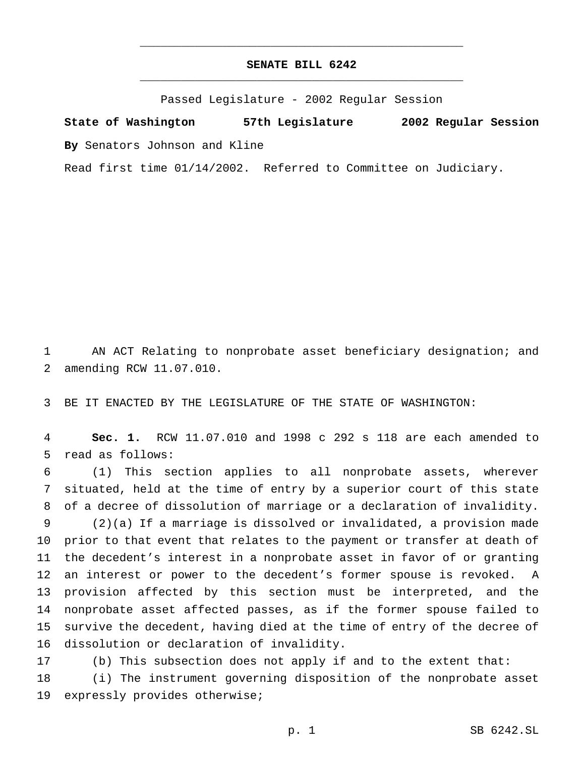# **SENATE BILL 6242** \_\_\_\_\_\_\_\_\_\_\_\_\_\_\_\_\_\_\_\_\_\_\_\_\_\_\_\_\_\_\_\_\_\_\_\_\_\_\_\_\_\_\_\_\_\_\_

\_\_\_\_\_\_\_\_\_\_\_\_\_\_\_\_\_\_\_\_\_\_\_\_\_\_\_\_\_\_\_\_\_\_\_\_\_\_\_\_\_\_\_\_\_\_\_

Passed Legislature - 2002 Regular Session

**State of Washington 57th Legislature 2002 Regular Session By** Senators Johnson and Kline

Read first time 01/14/2002. Referred to Committee on Judiciary.

 AN ACT Relating to nonprobate asset beneficiary designation; and amending RCW 11.07.010.

BE IT ENACTED BY THE LEGISLATURE OF THE STATE OF WASHINGTON:

 **Sec. 1.** RCW 11.07.010 and 1998 c 292 s 118 are each amended to read as follows:

 (1) This section applies to all nonprobate assets, wherever situated, held at the time of entry by a superior court of this state of a decree of dissolution of marriage or a declaration of invalidity. (2)(a) If a marriage is dissolved or invalidated, a provision made prior to that event that relates to the payment or transfer at death of the decedent's interest in a nonprobate asset in favor of or granting an interest or power to the decedent's former spouse is revoked. A provision affected by this section must be interpreted, and the nonprobate asset affected passes, as if the former spouse failed to survive the decedent, having died at the time of entry of the decree of dissolution or declaration of invalidity.

(b) This subsection does not apply if and to the extent that:

 (i) The instrument governing disposition of the nonprobate asset expressly provides otherwise;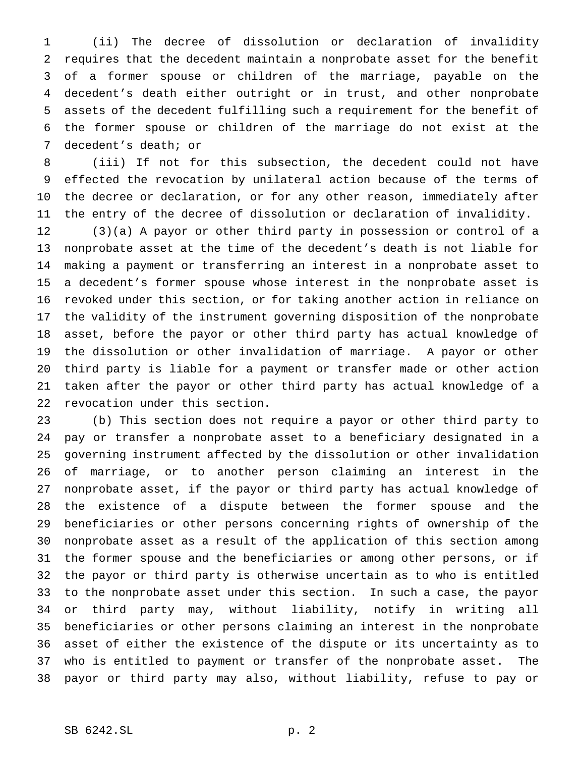(ii) The decree of dissolution or declaration of invalidity requires that the decedent maintain a nonprobate asset for the benefit of a former spouse or children of the marriage, payable on the decedent's death either outright or in trust, and other nonprobate assets of the decedent fulfilling such a requirement for the benefit of the former spouse or children of the marriage do not exist at the decedent's death; or

 (iii) If not for this subsection, the decedent could not have effected the revocation by unilateral action because of the terms of the decree or declaration, or for any other reason, immediately after the entry of the decree of dissolution or declaration of invalidity.

 (3)(a) A payor or other third party in possession or control of a nonprobate asset at the time of the decedent's death is not liable for making a payment or transferring an interest in a nonprobate asset to a decedent's former spouse whose interest in the nonprobate asset is revoked under this section, or for taking another action in reliance on the validity of the instrument governing disposition of the nonprobate asset, before the payor or other third party has actual knowledge of the dissolution or other invalidation of marriage. A payor or other third party is liable for a payment or transfer made or other action taken after the payor or other third party has actual knowledge of a revocation under this section.

 (b) This section does not require a payor or other third party to pay or transfer a nonprobate asset to a beneficiary designated in a governing instrument affected by the dissolution or other invalidation of marriage, or to another person claiming an interest in the nonprobate asset, if the payor or third party has actual knowledge of the existence of a dispute between the former spouse and the beneficiaries or other persons concerning rights of ownership of the nonprobate asset as a result of the application of this section among the former spouse and the beneficiaries or among other persons, or if the payor or third party is otherwise uncertain as to who is entitled to the nonprobate asset under this section. In such a case, the payor or third party may, without liability, notify in writing all beneficiaries or other persons claiming an interest in the nonprobate asset of either the existence of the dispute or its uncertainty as to who is entitled to payment or transfer of the nonprobate asset. The payor or third party may also, without liability, refuse to pay or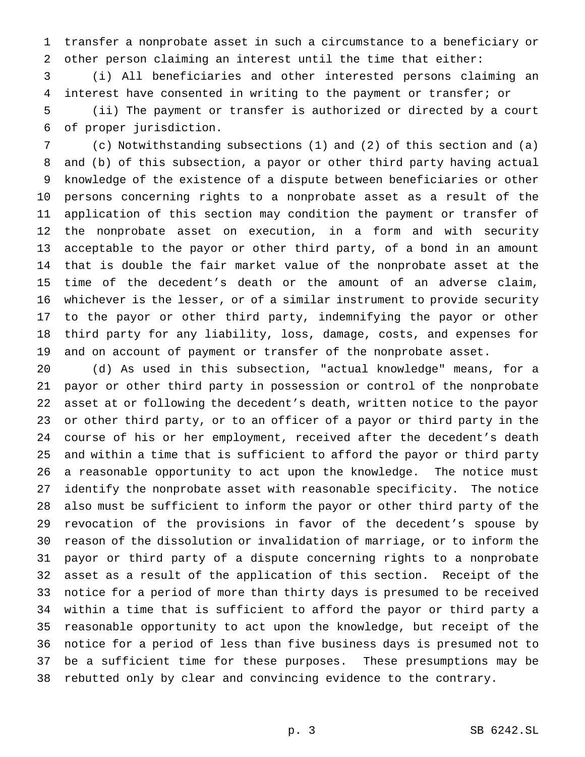transfer a nonprobate asset in such a circumstance to a beneficiary or other person claiming an interest until the time that either:

 (i) All beneficiaries and other interested persons claiming an interest have consented in writing to the payment or transfer; or (ii) The payment or transfer is authorized or directed by a court

of proper jurisdiction.

 (c) Notwithstanding subsections (1) and (2) of this section and (a) and (b) of this subsection, a payor or other third party having actual knowledge of the existence of a dispute between beneficiaries or other persons concerning rights to a nonprobate asset as a result of the application of this section may condition the payment or transfer of the nonprobate asset on execution, in a form and with security acceptable to the payor or other third party, of a bond in an amount that is double the fair market value of the nonprobate asset at the time of the decedent's death or the amount of an adverse claim, whichever is the lesser, or of a similar instrument to provide security to the payor or other third party, indemnifying the payor or other third party for any liability, loss, damage, costs, and expenses for and on account of payment or transfer of the nonprobate asset.

 (d) As used in this subsection, "actual knowledge" means, for a payor or other third party in possession or control of the nonprobate asset at or following the decedent's death, written notice to the payor or other third party, or to an officer of a payor or third party in the course of his or her employment, received after the decedent's death and within a time that is sufficient to afford the payor or third party a reasonable opportunity to act upon the knowledge. The notice must identify the nonprobate asset with reasonable specificity. The notice also must be sufficient to inform the payor or other third party of the revocation of the provisions in favor of the decedent's spouse by reason of the dissolution or invalidation of marriage, or to inform the payor or third party of a dispute concerning rights to a nonprobate asset as a result of the application of this section. Receipt of the notice for a period of more than thirty days is presumed to be received within a time that is sufficient to afford the payor or third party a reasonable opportunity to act upon the knowledge, but receipt of the notice for a period of less than five business days is presumed not to be a sufficient time for these purposes. These presumptions may be rebutted only by clear and convincing evidence to the contrary.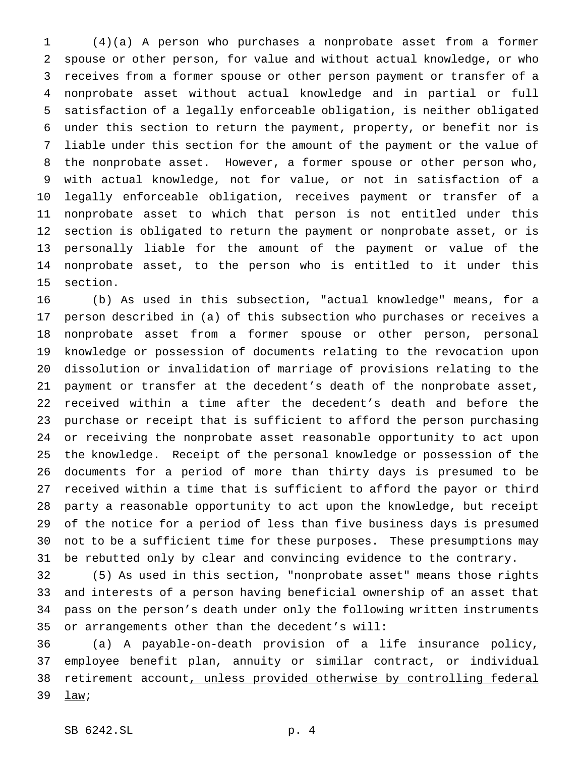(4)(a) A person who purchases a nonprobate asset from a former spouse or other person, for value and without actual knowledge, or who receives from a former spouse or other person payment or transfer of a nonprobate asset without actual knowledge and in partial or full satisfaction of a legally enforceable obligation, is neither obligated under this section to return the payment, property, or benefit nor is liable under this section for the amount of the payment or the value of the nonprobate asset. However, a former spouse or other person who, with actual knowledge, not for value, or not in satisfaction of a legally enforceable obligation, receives payment or transfer of a nonprobate asset to which that person is not entitled under this section is obligated to return the payment or nonprobate asset, or is personally liable for the amount of the payment or value of the nonprobate asset, to the person who is entitled to it under this section.

 (b) As used in this subsection, "actual knowledge" means, for a person described in (a) of this subsection who purchases or receives a nonprobate asset from a former spouse or other person, personal knowledge or possession of documents relating to the revocation upon dissolution or invalidation of marriage of provisions relating to the payment or transfer at the decedent's death of the nonprobate asset, received within a time after the decedent's death and before the purchase or receipt that is sufficient to afford the person purchasing or receiving the nonprobate asset reasonable opportunity to act upon the knowledge. Receipt of the personal knowledge or possession of the documents for a period of more than thirty days is presumed to be received within a time that is sufficient to afford the payor or third party a reasonable opportunity to act upon the knowledge, but receipt of the notice for a period of less than five business days is presumed not to be a sufficient time for these purposes. These presumptions may be rebutted only by clear and convincing evidence to the contrary.

 (5) As used in this section, "nonprobate asset" means those rights and interests of a person having beneficial ownership of an asset that pass on the person's death under only the following written instruments or arrangements other than the decedent's will:

 (a) A payable-on-death provision of a life insurance policy, employee benefit plan, annuity or similar contract, or individual retirement account, unless provided otherwise by controlling federal 39 law;